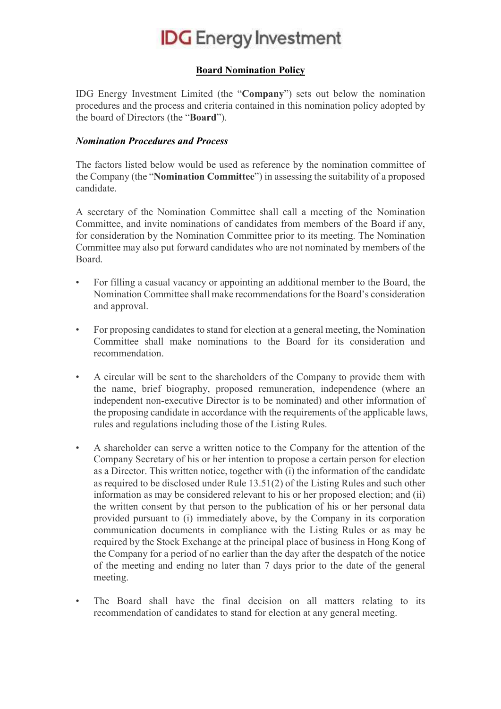## **IDG** Energy Investment

## Board Nomination Policy

IDG Energy Investment Limited (the "Company") sets out below the nomination procedures and the process and criteria contained in this nomination policy adopted by the board of Directors (the "Board").

## Nomination Procedures and Process

The factors listed below would be used as reference by the nomination committee of the Company (the "Nomination Committee") in assessing the suitability of a proposed candidate.

A secretary of the Nomination Committee shall call a meeting of the Nomination Committee, and invite nominations of candidates from members of the Board if any, for consideration by the Nomination Committee prior to its meeting. The Nomination Committee may also put forward candidates who are not nominated by members of the Board.

- For filling a casual vacancy or appointing an additional member to the Board, the Nomination Committee shall make recommendations for the Board's consideration and approval.
- For proposing candidates to stand for election at a general meeting, the Nomination Committee shall make nominations to the Board for its consideration and recommendation.
- A circular will be sent to the shareholders of the Company to provide them with the name, brief biography, proposed remuneration, independence (where an independent non-executive Director is to be nominated) and other information of the proposing candidate in accordance with the requirements of the applicable laws, rules and regulations including those of the Listing Rules.
- A shareholder can serve a written notice to the Company for the attention of the Company Secretary of his or her intention to propose a certain person for election as a Director. This written notice, together with (i) the information of the candidate as required to be disclosed under Rule 13.51(2) of the Listing Rules and such other information as may be considered relevant to his or her proposed election; and (ii) the written consent by that person to the publication of his or her personal data provided pursuant to (i) immediately above, by the Company in its corporation communication documents in compliance with the Listing Rules or as may be required by the Stock Exchange at the principal place of business in Hong Kong of the Company for a period of no earlier than the day after the despatch of the notice of the meeting and ending no later than 7 days prior to the date of the general meeting.
- The Board shall have the final decision on all matters relating to its recommendation of candidates to stand for election at any general meeting.